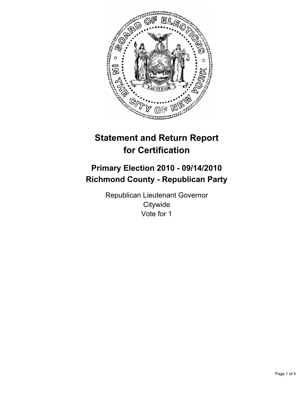

# **Statement and Return Report for Certification**

## **Primary Election 2010 - 09/14/2010 Richmond County - Republican Party**

Republican Lieutenant Governor **Citywide** Vote for 1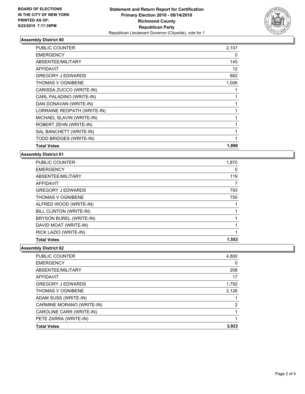

### **Assembly District 60**

| <b>PUBLIC COUNTER</b>       | 2,107        |
|-----------------------------|--------------|
| <b>EMERGENCY</b>            | 0            |
| <b>ABSENTEE/MILITARY</b>    | 145          |
| <b>AFFIDAVIT</b>            | 12           |
| <b>GREGORY J EDWARDS</b>    | 882          |
| THOMAS V OGNIBENE           | 1,006        |
| CARISSA ZUCCO (WRITE-IN)    |              |
| CARL PALADINO (WRITE-IN)    |              |
| DAN DONAVAN (WRITE-IN)      | 1            |
| LORRAINE REDPATH (WRITE-IN) |              |
| MICHAEL SLAVIN (WRITE-IN)   | 1            |
| ROBERT ZEHN (WRITE-IN)      | 1            |
| SAL BANCHETT (WRITE-IN)     | 1            |
| TODD BRIDGES (WRITE-IN)     | $\mathbf{1}$ |
| <b>Total Votes</b>          | 1,896        |

**Assembly District 61**

| <b>PUBLIC COUNTER</b>    | 1,870 |
|--------------------------|-------|
| <b>EMERGENCY</b>         | 0     |
| ABSENTEE/MILITARY        | 119   |
| <b>AFFIDAVIT</b>         |       |
| <b>GREGORY J EDWARDS</b> | 793   |
| <b>THOMAS V OGNIBENE</b> | 755   |
| ALFRED WOOD (WRITE-IN)   |       |
| BILL CLINTON (WRITE-IN)  |       |
| BRYSON BUREL (WRITE-IN)  |       |
| DAVID MOAT (WRITE-IN)    |       |
| RICK LAZIO (WRITE-IN)    |       |
| <b>Total Votes</b>       | 1,553 |

**Assembly District 62**

| <b>PUBLIC COUNTER</b>     | 4,800          |
|---------------------------|----------------|
| <b>EMERGENCY</b>          | 0              |
| ABSENTEE/MILITARY         | 208            |
| <b>AFFIDAVIT</b>          | 17             |
| <b>GREGORY J EDWARDS</b>  | 1,792          |
| <b>THOMAS V OGNIBENE</b>  | 2,126          |
| ADAM SUSS (WRITE-IN)      |                |
| CARMINE MORANO (WRITE-IN) | $\overline{2}$ |
| CAROLINE CARR (WRITE-IN)  |                |
| PETE ZARRA (WRITE-IN)     |                |
| <b>Total Votes</b>        | 3,923          |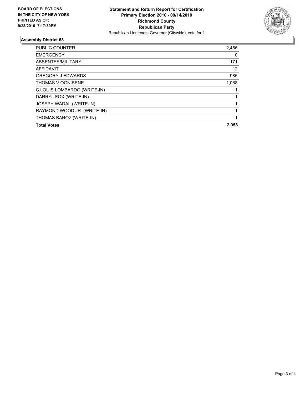

### **Assembly District 63**

| <b>PUBLIC COUNTER</b>          | 2,456 |
|--------------------------------|-------|
| <b>EMERGENCY</b>               | 0     |
| ABSENTEE/MILITARY              | 171   |
| <b>AFFIDAVIT</b>               | 12    |
| <b>GREGORY J EDWARDS</b>       | 985   |
| <b>THOMAS V OGNIBENE</b>       | 1,068 |
| C.LOUIS LOMBARDO (WRITE-IN)    |       |
| DARRYL FOX (WRITE-IN)          |       |
| <b>JOSEPH WADAL (WRITE-IN)</b> |       |
| RAYMOND WOOD JR. (WRITE-IN)    |       |
| THOMAS BAROZ (WRITE-IN)        |       |
| <b>Total Votes</b>             | 2,058 |